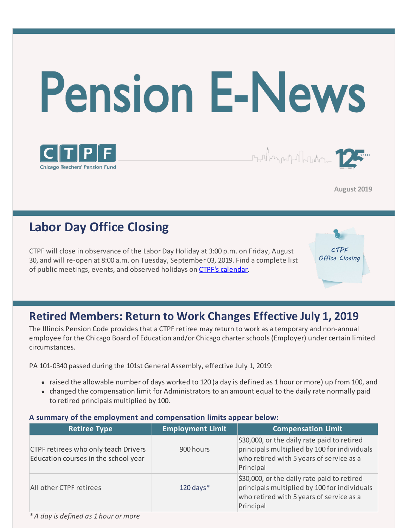



**August 2019** 

\_

## **Labor Day Office Closing**

CTPF will close in observance of the Labor Day Holiday at 3:00 p.m. on Friday, August 30, and will re-open at 8:00 a.m. on Tuesday, September 03, 2019. Find a complete list of public meetings, events, and observed holidays on [CTPF's calendar.](https://www.ctpf.org/calendar)

CTPF Office Closing

### **Retired Members: Return to Work Changes Effective July 1, 2019**

The Illinois Pension Code provides that a CTPF retiree may return to work as a temporary and non-annual employee for the Chicago Board of Education and/or Chicago charter schools (Employer) under certain limited circumstances.

PA 101-0340 passed during the 101st General Assembly, effective July 1, 2019:

- raised the allowable number of days worked to 120 (a day is defined as 1 hour or more) up from 100, and
- changed the compensation limit for Administrators to an amount equal to the daily rate normally paid to retired principals multiplied by 100.

| <b>Retiree Type</b>                                                                 | <b>Employment Limit</b> | <b>Compensation Limit</b>                                                                                                                                        |  |  |
|-------------------------------------------------------------------------------------|-------------------------|------------------------------------------------------------------------------------------------------------------------------------------------------------------|--|--|
| <b>CTPF retirees who only teach Drivers</b><br>Education courses in the school year | 900 hours               | $\frac{1}{2}30,000$ , or the daily rate paid to retired<br>principals multiplied by 100 for individuals<br>who retired with 5 years of service as a<br>Principal |  |  |
| All other CTPF retirees                                                             | $120$ days*             | $\frac{1}{2}30,000$ , or the daily rate paid to retired<br>principals multiplied by 100 for individuals<br>who retired with 5 years of service as a<br>Principal |  |  |

#### **A summary of the employment and compensation limits appear below:**

*\* A day is defined as 1 hour or more*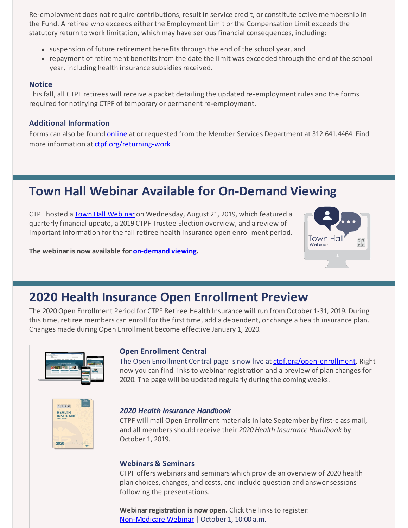Re-employment does not require contributions, result in service credit, or constitute active membership in the Fund. A retiree who exceeds either the Employment Limit or the Compensation Limit exceeds the statutory return to work limitation, which may have serious financial consequences, including:

- suspension of future retirement benefits through the end of the school year, and
- repayment of retirement benefits from the date the limit was exceeded through the end of the school year, including health insurance subsidies received.

#### **Notice**

This fall, all CTPF retirees will receive a packet detailing the updated re-employment rules and the forms required for notifying CTPF of temporary or permanent re-employment.

#### **Additional Information**

Forms can also be found **online** at or requested from the Member Services Department at 312.641.4464. Find more information at [ctpf.org/returning-work](https://www.ctpf.org/returning-work)

# **Town Hall Webinar Available for On-Demand Viewing**

CTPF hosted a [Town Hall Webinar](https://www.ctpf.org/news/townhallwebinar) on Wednesday, August 21, 2019, which featured a quarterly financial update, a 2019 CTPF Trustee Election overview, and a review of important information for the fall retiree health insurance open enrollment period.



**The webinar is now available for [on-demand viewing](https://www.ctpf.org/news/townhallwebinar).** 

# **2020 Health Insurance Open Enrollment Preview**

The 2020 Open Enrollment Period for CTPF Retiree Health Insurance will run from October 1-31, 2019. During this time, retiree members can enroll for the first time, add a dependent, or change a health insurance plan. Changes made during Open Enrollment become effective January 1, 2020.

|                          | <b>Open Enrollment Central</b><br>The Open Enrollment Central page is now live at ctpf.org/open-enrollment. Right<br>now you can find links to webinar registration and a preview of plan changes for<br>2020. The page will be updated regularly during the coming weeks. |
|--------------------------|----------------------------------------------------------------------------------------------------------------------------------------------------------------------------------------------------------------------------------------------------------------------------|
| CTPF<br>NSURANCE<br>2020 | 2020 Health Insurance Handbook<br>CTPF will mail Open Enrollment materials in late September by first-class mail,<br>and all members should receive their 2020 Health Insurance Handbook by<br>October 1, 2019.                                                            |
|                          | <b>Webinars &amp; Seminars</b><br>CTPF offers webinars and seminars which provide an overview of 2020 health<br>plan choices, changes, and costs, and include question and answer sessions<br>following the presentations.                                                 |
|                          | Webinar registration is now open. Click the links to register:<br>Non-Medicare Webinar   October 1, 10:00 a.m.                                                                                                                                                             |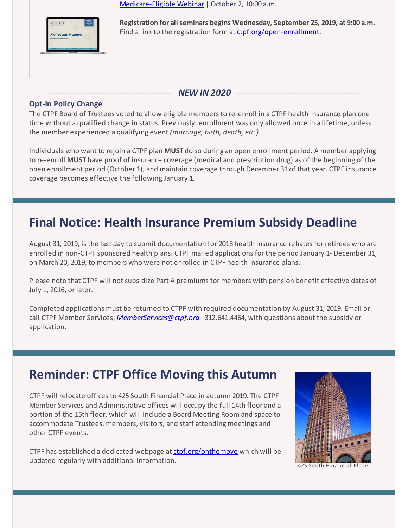

[Medicare-Eligible Webinar](https://register.gotowebinar.com/register/6473398198838384908) | October 2, 10:00 a.m.

**Registration for all seminars begins Wednesday, September 25, 2019, at 9:00 a.m.** Find a link to the registration form at [ctpf.org/open-enrollment](http://ctpf.org/open-enrollment).

#### NEW IN 2020

#### **Opt-In Policy Change**

The CTPF Board of Trustees voted to allow eligible members to re-enroll in a CTPF health insurance plan one time without a qualified change in status. Previously, enrollment was only allowed once in a lifetime, unless the member experienced a qualifying event *(marriage, birth, death, etc.)*.

Individuals who want to rejoin a CTPF plan **MUST** do so during an open enrollment period. A member applying to re-enroll **MUST** have proof of insurance coverage (medical and prescription drug) as of the beginning of the open enrollment period (October 1), and maintain coverage through December 31 of that year. CTPF insurance coverage becomes effective the following January 1.

## **Final Notice: Health Insurance Premium Subsidy Deadline**

August 31, 2019, is the last day to submit documentation for 2018 health insurance rebates for retirees who are enrolled in non-CTPF sponsored health plans. CTPF mailed applications for the period January 1- December 31, on March 20, 2019, to members who were not enrolled in CTPF health insurance plans.

Please note that CTPF will not subsidize Part A premiums for members with pension benefit effective dates of July 1, 2016, or later.

Completed applications must be returned to CTPF with required documentation by August 31, 2019. Email or call CTPF Member Services, *[MemberServices@ctpf.org](mailto:MemberServices@ctpf.org)* |312.641.4464, with questions about the subsidy or application.

## **Reminder: CTPF Office Moving this Autumn**

CTPF will relocate offices to 425 South Financial Place in autumn 2019. The CTPF Member Services and Administrative offices will occupy the full 14th floor and a portion of the 15th floor, which will include a Board Meeting Room and space to accommodate Trustees, members, visitors, and staff attending meetings and other CTPF events.

CTPF has established a dedicated webpage at [ctpf.org/onthemove](https://www.ctpf.org/onthemove) which will be updated regularly with additional information.



425 South Financial Place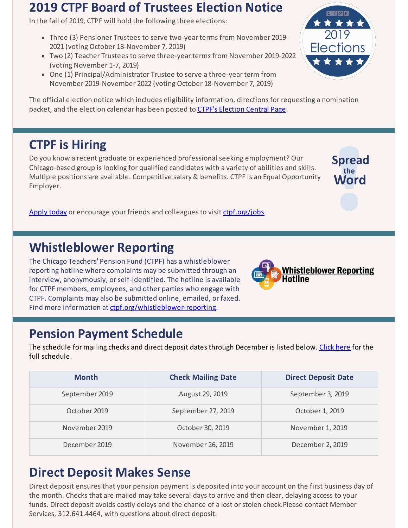### **2019 CTPF Board of Trustees Election Notice**

In the fall of 2019, CTPF will hold the following three elections:

- Three (3) Pensioner Trustees to serve two-year terms from November 2019- 2021 (voting October 18-November 7, 2019)
- Two (2) Teacher Trustees to serve three-year terms from November 2019-2022 (voting November 1-7, 2019)
- One (1) Principal/Administrator Trustee to serve a three-year term from November 2019-November 2022 (voting October 18-November 7, 2019)

The official election notice which includes eligibility information, directions for requesting a nomination packet, and the election calendar has been posted to [CTPF's Election Central Page](https://www.ctpf.org/2019-election-central).

## **CTPF is Hiring**

Do you know a recent graduate or experienced professional seeking employment? Our Chicago-based group is looking for qualified candidates with a variety of abilities and skills. Multiple positions are available. Competitive salary & benefits. CTPF is an Equal Opportunity Employer.

[Apply today](https://bit.ly/2IpJhUF) or encourage your friends and colleagues to visit [ctpf.org/jobs](http://www.ctpf.org/jobs).

### **Whistleblower Reporting**

The Chicago Teachers' Pension Fund (CTPF) has a whistleblower reporting hotline where complaints may be submitted through an interview, anonymously, or self-identified. The hotline is available for CTPF members, employees, and other parties who engage with CTPF. Complaints may also be submitted online, emailed, or faxed. Find more information at [ctpf.org/whistleblower-reporting](http://ctpf.org/whistleblower-reporting).

## **Pension Payment Schedule**

The schedule for mailing checks and direct deposit dates through December is listed below. [Click here](https://www.ctpf.org/pension-payments) for the full schedule.

| <b>Month</b>   | <b>Check Mailing Date</b> | <b>Direct Deposit Date</b> |
|----------------|---------------------------|----------------------------|
| September 2019 | August 29, 2019           | September 3, 2019          |
| October 2019   | September 27, 2019        | October 1, 2019            |
| November 2019  | October 30, 2019          | November 1, 2019           |
| December 2019  | November 26, 2019         | December 2, 2019           |

## **Direct Deposit Makes Sense**

Direct deposit ensures that your pension payment is deposited into your account on the first business day of the month. Checks that are mailed may take several days to arrive and then clear, delaying access to your funds. Direct deposit avoids costly delays and the chance of a lost or stolen check.Please contact Member [Services, 312.641.4464, with questions about direct](https://www.ctpf.org/sites/main/files/file-attachments/form_425_direct_deposit.pdf) deposit.



**Spread** 

Vord

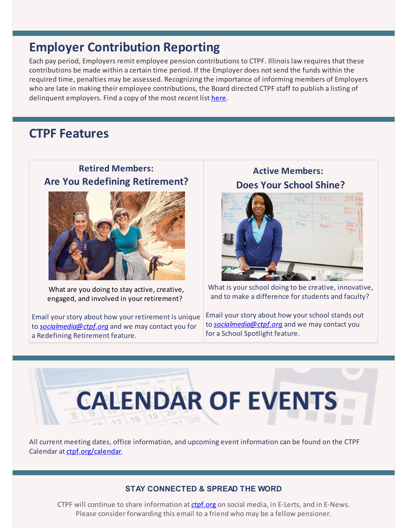### **Employer Contribution Reporting**

Each pay period, Employers remit employee pension contributions to CTPF. Illinois law requires that these contributions be made within a certain time period. If the Employer does not send the funds within the required time, penalties may be assessed. Recognizing the importance of informing members of Employers who are late in making their employee contributions, the Board directed CTPF staff to publish a listing of delinquent employers. Find a copy of the most recent list [here](https://www.ctpf.org/employer-contribution-reporting).

### **CTPF Features**

#### **Retired Members: Are You Redefining Retirement?**



What are you doing to stay active, creative, engaged, and involved in your retirement?

Email your story about how your retirement is unique to *[socialmedia@ctpf.org](mailto:socialmedia@ctpf.org)* and we may contact you for a Redefining Retirement feature.

**Active Members: Does Your School Shine?**



What is your school doing to be creative, innovative, and to make a difference for students and faculty?

Email your story about how your school stands out to *[socialmedia@ctpf.org](mailto:socialmedia@ctpf.org)* and we may contact you for a School Spotlight feature.



All current meeting dates, office information, and upcoming event information can be found on the CTPF Calendar at [ctpf.org/calendar](http://www.ctpf.org/calendar).

#### **STAY CONNECTED & SPREAD THE WORD**

CTPF will continue to share information at [ctpf.org](http://www.ctpf.org) on social media, in E-Lerts, and in E-News. Please consider forwarding this email to a friend who may be a fellow pensioner.